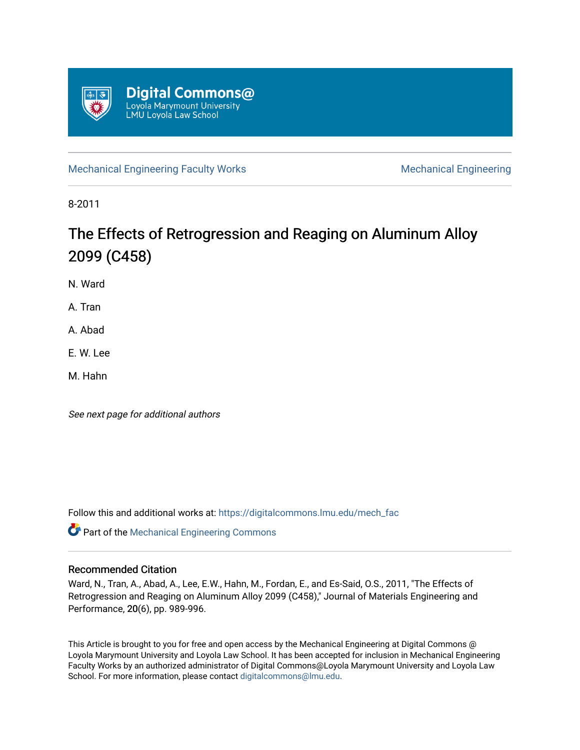

[Mechanical Engineering Faculty Works](https://digitalcommons.lmu.edu/mech_fac) [Mechanical Engineering](https://digitalcommons.lmu.edu/mech) **Mechanical** Engineering

8-2011

# The Effects of Retrogression and Reaging on Aluminum Alloy 2099 (C458)

N. Ward

A. Tran

A. Abad

E. W. Lee

M. Hahn

See next page for additional authors

Follow this and additional works at: [https://digitalcommons.lmu.edu/mech\\_fac](https://digitalcommons.lmu.edu/mech_fac?utm_source=digitalcommons.lmu.edu%2Fmech_fac%2F13&utm_medium=PDF&utm_campaign=PDFCoverPages)

Part of the [Mechanical Engineering Commons](http://network.bepress.com/hgg/discipline/293?utm_source=digitalcommons.lmu.edu%2Fmech_fac%2F13&utm_medium=PDF&utm_campaign=PDFCoverPages) 

# Recommended Citation

Ward, N., Tran, A., Abad, A., Lee, E.W., Hahn, M., Fordan, E., and Es-Said, O.S., 2011, "The Effects of Retrogression and Reaging on Aluminum Alloy 2099 (C458)," Journal of Materials Engineering and Performance, 20(6), pp. 989-996.

This Article is brought to you for free and open access by the Mechanical Engineering at Digital Commons @ Loyola Marymount University and Loyola Law School. It has been accepted for inclusion in Mechanical Engineering Faculty Works by an authorized administrator of Digital Commons@Loyola Marymount University and Loyola Law School. For more information, please contact [digitalcommons@lmu.edu.](mailto:digitalcommons@lmu.edu)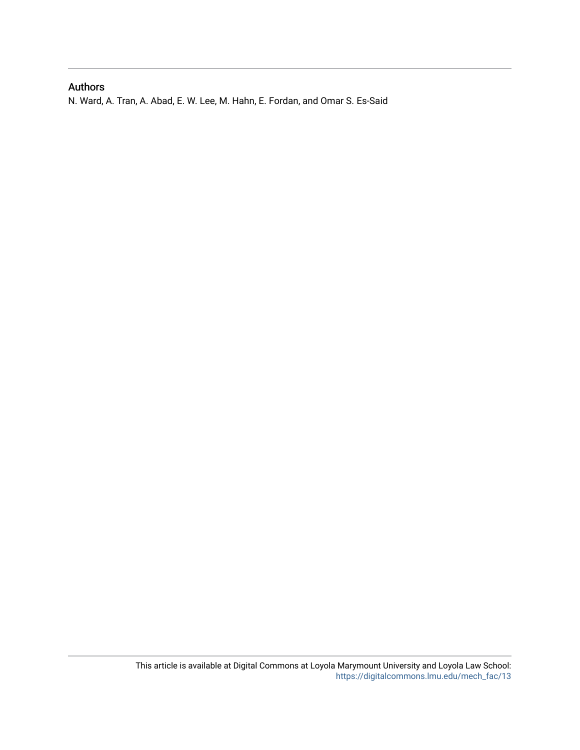# Authors

N. Ward, A. Tran, A. Abad, E. W. Lee, M. Hahn, E. Fordan, and Omar S. Es-Said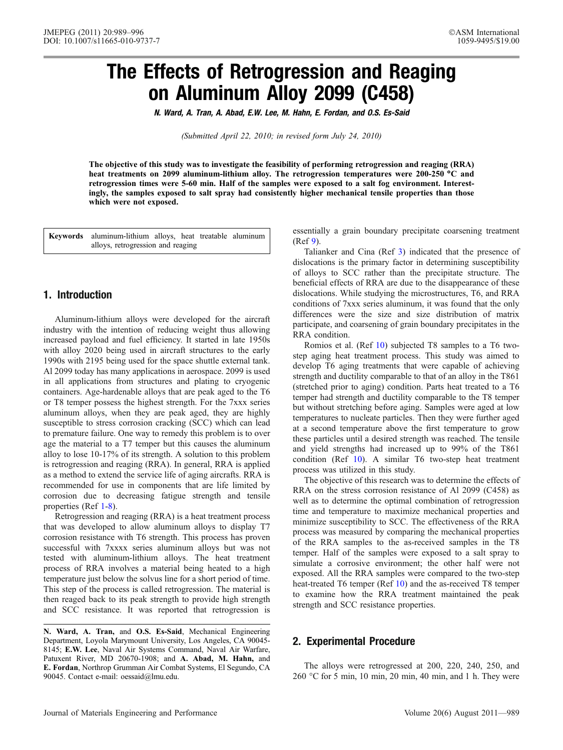# The Effects of Retrogression and Reaging on Aluminum Alloy 2099 (C458)

N. Ward, A. Tran, A. Abad, E.W. Lee, M. Hahn, E. Fordan, and O.S. Es-Said

(Submitted April 22, 2010; in revised form July 24, 2010)

The objective of this study was to investigate the feasibility of performing retrogression and reaging (RRA) heat treatments on 2099 aluminum-lithium alloy. The retrogression temperatures were 200-250 °C and retrogression times were 5-60 min. Half of the samples were exposed to a salt fog environment. Interestingly, the samples exposed to salt spray had consistently higher mechanical tensile properties than those which were not exposed.

Keywords aluminum-lithium alloys, heat treatable aluminum alloys, retrogression and reaging

# 1. Introduction

Aluminum-lithium alloys were developed for the aircraft industry with the intention of reducing weight thus allowing increased payload and fuel efficiency. It started in late 1950s with alloy 2020 being used in aircraft structures to the early 1990s with 2195 being used for the space shuttle external tank. Al 2099 today has many applications in aerospace. 2099 is used in all applications from structures and plating to cryogenic containers. Age-hardenable alloys that are peak aged to the T6 or T8 temper possess the highest strength. For the 7xxx series aluminum alloys, when they are peak aged, they are highly susceptible to stress corrosion cracking (SCC) which can lead to premature failure. One way to remedy this problem is to over age the material to a T7 temper but this causes the aluminum alloy to lose 10-17% of its strength. A solution to this problem is retrogression and reaging (RRA). In general, RRA is applied as a method to extend the service life of aging aircrafts. RRA is recommended for use in components that are life limited by corrosion due to decreasing fatigue strength and tensile properties (Ref [1-8\)](#page-8-0).

Retrogression and reaging (RRA) is a heat treatment process that was developed to allow aluminum alloys to display T7 corrosion resistance with T6 strength. This process has proven successful with 7xxxx series aluminum alloys but was not tested with aluminum-lithium alloys. The heat treatment process of RRA involves a material being heated to a high temperature just below the solvus line for a short period of time. This step of the process is called retrogression. The material is then reaged back to its peak strength to provide high strength and SCC resistance. It was reported that retrogression is

N. Ward, A. Tran, and O.S. Es-Said, Mechanical Engineering Department, Loyola Marymount University, Los Angeles, CA 90045- 8145; E.W. Lee, Naval Air Systems Command, Naval Air Warfare, Patuxent River, MD 20670-1908; and A. Abad, M. Hahn, and E. Fordan, Northrop Grumman Air Combat Systems, El Segundo, CA 90045. Contact e-mail: oessaid@lmu.edu.

essentially a grain boundary precipitate coarsening treatment (Ref [9](#page-9-0)).

Talianker and Cina (Ref [3\)](#page-8-0) indicated that the presence of dislocations is the primary factor in determining susceptibility of alloys to SCC rather than the precipitate structure. The beneficial effects of RRA are due to the disappearance of these dislocations. While studying the microstructures, T6, and RRA conditions of 7xxx series aluminum, it was found that the only differences were the size and size distribution of matrix participate, and coarsening of grain boundary precipitates in the RRA condition.

Romios et al. (Ref [10\)](#page-9-0) subjected T8 samples to a T6 twostep aging heat treatment process. This study was aimed to develop T6 aging treatments that were capable of achieving strength and ductility comparable to that of an alloy in the T861 (stretched prior to aging) condition. Parts heat treated to a T6 temper had strength and ductility comparable to the T8 temper but without stretching before aging. Samples were aged at low temperatures to nucleate particles. Then they were further aged at a second temperature above the first temperature to grow these particles until a desired strength was reached. The tensile and yield strengths had increased up to 99% of the T861 condition (Ref [10\)](#page-9-0). A similar T6 two-step heat treatment process was utilized in this study.

The objective of this research was to determine the effects of RRA on the stress corrosion resistance of Al 2099 (C458) as well as to determine the optimal combination of retrogression time and temperature to maximize mechanical properties and minimize susceptibility to SCC. The effectiveness of the RRA process was measured by comparing the mechanical properties of the RRA samples to the as-received samples in the T8 temper. Half of the samples were exposed to a salt spray to simulate a corrosive environment; the other half were not exposed. All the RRA samples were compared to the two-step heat-treated T6 temper (Ref [10\)](#page-9-0) and the as-received T8 temper to examine how the RRA treatment maintained the peak strength and SCC resistance properties.

# 2. Experimental Procedure

The alloys were retrogressed at 200, 220, 240, 250, and 260 -C for 5 min, 10 min, 20 min, 40 min, and 1 h. They were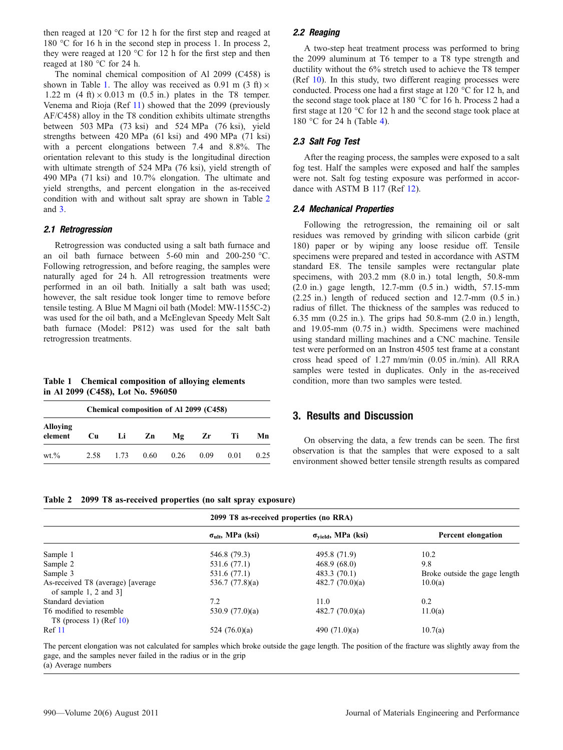<span id="page-3-0"></span>then reaged at 120  $\degree$ C for 12 h for the first step and reaged at 180 °C for 16 h in the second step in process 1. In process 2, they were reaged at 120  $\degree$ C for 12 h for the first step and then reaged at  $180$  °C for 24 h.

The nominal chemical composition of Al 2099 (C458) is shown in Table 1. The alloy was received as 0.91 m  $(3 \text{ ft}) \times$ 1.22 m  $(4 \text{ ft}) \times 0.013 \text{ m}$   $(0.5 \text{ in.})$  plates in the T8 temper. Venema and Rioja (Ref [11](#page-9-0)) showed that the 2099 (previously AF/C458) alloy in the T8 condition exhibits ultimate strengths between 503 MPa (73 ksi) and 524 MPa (76 ksi), yield strengths between 420 MPa (61 ksi) and 490 MPa (71 ksi) with a percent elongations between 7.4 and 8.8%. The orientation relevant to this study is the longitudinal direction with ultimate strength of 524 MPa (76 ksi), yield strength of 490 MPa (71 ksi) and 10.7% elongation. The ultimate and yield strengths, and percent elongation in the as-received condition with and without salt spray are shown in Table 2 and [3](#page-4-0).

#### 2.1 Retrogression

Retrogression was conducted using a salt bath furnace and an oil bath furnace between  $5-60$  min and  $200-250$  °C. Following retrogression, and before reaging, the samples were naturally aged for 24 h. All retrogression treatments were performed in an oil bath. Initially a salt bath was used; however, the salt residue took longer time to remove before tensile testing. A Blue M Magni oil bath (Model: MW-1155C-2) was used for the oil bath, and a McEnglevan Speedy Melt Salt bath furnace (Model: P812) was used for the salt bath retrogression treatments.

Table 1 Chemical composition of alloying elements in Al 2099 (C458), Lot No. 596050

| Chemical composition of Al 2099 (C458) |      |      |      |      |      |      |      |
|----------------------------------------|------|------|------|------|------|------|------|
| Alloying<br>element                    | Cu   | Li   | Zn   | Mg   | Zr   | Тi   | Mn   |
| $wt. \%$                               | 2.58 | 1.73 | 0.60 | 0.26 | 0.09 | 0.01 | 0.25 |

2.2 Reaging

A two-step heat treatment process was performed to bring the 2099 aluminum at T6 temper to a T8 type strength and ductility without the 6% stretch used to achieve the T8 temper (Ref [10\)](#page-9-0). In this study, two different reaging processes were conducted. Process one had a first stage at  $120^{\circ}$ C for  $12$  h, and the second stage took place at 180 °C for 16 h. Process 2 had a first stage at 120  $^{\circ}$ C for 12 h and the second stage took place at 180 °C for 24 h (Table [4\)](#page-4-0).

#### 2.3 Salt Fog Test

After the reaging process, the samples were exposed to a salt fog test. Half the samples were exposed and half the samples were not. Salt fog testing exposure was performed in accor-dance with ASTM B 117 (Ref [12\)](#page-9-0).

#### 2.4 Mechanical Properties

Following the retrogression, the remaining oil or salt residues was removed by grinding with silicon carbide (grit 180) paper or by wiping any loose residue off. Tensile specimens were prepared and tested in accordance with ASTM standard E8. The tensile samples were rectangular plate specimens, with 203.2 mm (8.0 in.) total length, 50.8-mm (2.0 in.) gage length, 12.7-mm (0.5 in.) width, 57.15-mm (2.25 in.) length of reduced section and 12.7-mm (0.5 in.) radius of fillet. The thickness of the samples was reduced to 6.35 mm (0.25 in.). The grips had 50.8-mm (2.0 in.) length, and 19.05-mm (0.75 in.) width. Specimens were machined using standard milling machines and a CNC machine. Tensile test were performed on an Instron 4505 test frame at a constant cross head speed of 1.27 mm/min (0.05 in./min). All RRA samples were tested in duplicates. Only in the as-received condition, more than two samples were tested.

### 3. Results and Discussion

On observing the data, a few trends can be seen. The first observation is that the samples that were exposed to a salt environment showed better tensile strength results as compared

Table 2 2099 T8 as-received properties (no salt spray exposure)

|                                                                  |                                   | 2099 T8 as-received properties (no RRA) |                               |  |
|------------------------------------------------------------------|-----------------------------------|-----------------------------------------|-------------------------------|--|
|                                                                  | $\sigma_{\text{ult}}$ , MPa (ksi) | $\sigma_{\text{yield}}$ , MPa (ksi)     | Percent elongation            |  |
| Sample 1                                                         | 546.8 (79.3)                      | 495.8 (71.9)                            | 10.2                          |  |
| Sample 2                                                         | 531.6 (77.1)                      | 468.9(68.0)                             | 9.8                           |  |
| Sample 3                                                         | 531.6 (77.1)                      | 483.3 (70.1)                            | Broke outside the gage length |  |
| As-received T8 (average) [average]<br>of sample $1, 2$ and $3$ ] | 536.7 $(77.8)(a)$                 | 482.7 $(70.0)(a)$                       | 10.0(a)                       |  |
| Standard deviation                                               | 7.2                               | 11.0                                    | 0.2                           |  |
| T6 modified to resemble<br>T8 (process 1) (Ref $10$ )            | 530.9 $(77.0)(a)$                 | 482.7 $(70.0)(a)$                       | 11.0(a)                       |  |
| Ref 11                                                           | 524 $(76.0)(a)$                   | 490 $(71.0)(a)$                         | 10.7(a)                       |  |

The percent elongation was not calculated for samples which broke outside the gage length. The position of the fracture was slightly away from the gage, and the samples never failed in the radius or in the grip (a) Average numbers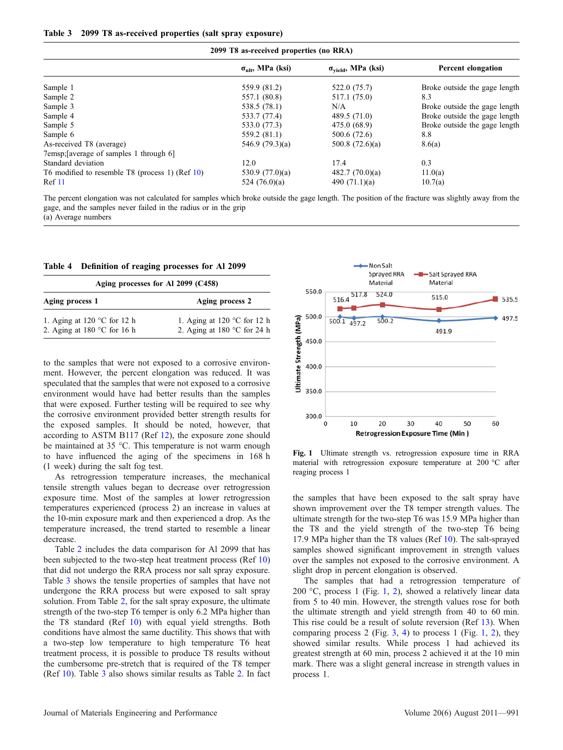<span id="page-4-0"></span>

| 2099 T8 as-received properties (no RRA)         |                                   |                                     |                               |  |  |  |
|-------------------------------------------------|-----------------------------------|-------------------------------------|-------------------------------|--|--|--|
|                                                 | $\sigma_{\text{ult}}$ , MPa (ksi) | $\sigma_{\text{yield}}$ , MPa (ksi) | Percent elongation            |  |  |  |
| Sample 1                                        | 559.9 (81.2)                      | 522.0 (75.7)                        | Broke outside the gage length |  |  |  |
| Sample 2                                        | 557.1 (80.8)                      | 517.1 (75.0)                        | 8.3                           |  |  |  |
| Sample 3                                        | 538.5 (78.1)                      | N/A                                 | Broke outside the gage length |  |  |  |
| Sample 4                                        | 533.7 (77.4)                      | 489.5 (71.0)                        | Broke outside the gage length |  |  |  |
| Sample 5                                        | 533.0 (77.3)                      | 475.0 (68.9)                        | Broke outside the gage length |  |  |  |
| Sample 6                                        | 559.2 (81.1)                      | 500.6 (72.6)                        | 8.8                           |  |  |  |
| As-received T8 (average)                        | 546.9 $(79.3)(a)$                 | 500.8 $(72.6)(a)$                   | 8.6(a)                        |  |  |  |
| 7emsp: [average of samples 1 through 6]         |                                   |                                     |                               |  |  |  |
| Standard deviation                              | 12.0                              | 17.4                                | 0.3                           |  |  |  |
| T6 modified to resemble T8 (process 1) (Ref 10) | 530.9 $(77.0)(a)$                 | 482.7(70.0)(a)                      | 11.0(a)                       |  |  |  |
| Ref 11                                          | 524 $(76.0)(a)$                   | 490 $(71.1)(a)$                     | 10.7(a)                       |  |  |  |

The percent elongation was not calculated for samples which broke outside the gage length. The position of the fracture was slightly away from the gage, and the samples never failed in the radius or in the grip (a) Average numbers

|  | Table 4 Definition of reaging processes for Al 2099 |  |  |  |  |  |  |
|--|-----------------------------------------------------|--|--|--|--|--|--|
|--|-----------------------------------------------------|--|--|--|--|--|--|

| Aging processes for Al 2099 (C458)                                            |                                                                               |  |  |  |
|-------------------------------------------------------------------------------|-------------------------------------------------------------------------------|--|--|--|
| Aging process 1                                                               | Aging process 2                                                               |  |  |  |
| 1. Aging at 120 $\degree$ C for 12 h<br>2. Aging at 180 $^{\circ}$ C for 16 h | 1. Aging at 120 $\degree$ C for 12 h<br>2. Aging at 180 $^{\circ}$ C for 24 h |  |  |  |

to the samples that were not exposed to a corrosive environment. However, the percent elongation was reduced. It was speculated that the samples that were not exposed to a corrosive environment would have had better results than the samples that were exposed. Further testing will be required to see why the corrosive environment provided better strength results for the exposed samples. It should be noted, however, that according to ASTM B117 (Ref [12\)](#page-9-0), the exposure zone should be maintained at 35 °C. This temperature is not warm enough to have influenced the aging of the specimens in 168 h (1 week) during the salt fog test.

As retrogression temperature increases, the mechanical tensile strength values began to decrease over retrogression exposure time. Most of the samples at lower retrogression temperatures experienced (process 2) an increase in values at the 10-min exposure mark and then experienced a drop. As the temperature increased, the trend started to resemble a linear decrease.

Table [2](#page-3-0) includes the data comparison for Al 2099 that has been subjected to the two-step heat treatment process (Ref [10\)](#page-9-0) that did not undergo the RRA process nor salt spray exposure. Table 3 shows the tensile properties of samples that have not undergone the RRA process but were exposed to salt spray solution. From Table [2](#page-3-0), for the salt spray exposure, the ultimate strength of the two-step T6 temper is only 6.2 MPa higher than the T8 standard (Ref [10](#page-9-0)) with equal yield strengths. Both conditions have almost the same ductility. This shows that with a two-step low temperature to high temperature T6 heat treatment process, it is possible to produce T8 results without the cumbersome pre-stretch that is required of the T8 temper (Ref [10\)](#page-9-0). Table 3 also shows similar results as Table [2](#page-3-0). In fact



Fig. 1 Ultimate strength vs. retrogression exposure time in RRA material with retrogression exposure temperature at 200 °C after reaging process 1

the samples that have been exposed to the salt spray have shown improvement over the T8 temper strength values. The ultimate strength for the two-step T6 was 15.9 MPa higher than the T8 and the yield strength of the two-step T6 being 17.9 MPa higher than the T8 values (Ref [10](#page-9-0)). The salt-sprayed samples showed significant improvement in strength values over the samples not exposed to the corrosive environment. A slight drop in percent elongation is observed.

The samples that had a retrogression temperature of [2](#page-5-0)00 °C, process 1 (Fig. 1, 2), showed a relatively linear data from 5 to 40 min. However, the strength values rose for both the ultimate strength and yield strength from 40 to 60 min. This rise could be a result of solute reversion (Ref [13\)](#page-9-0). When comparing process 2 (Fig.  $3, 4$  $3, 4$  $3, 4$ ) to process 1 (Fig. 1, [2\)](#page-5-0), they showed similar results. While process 1 had achieved its greatest strength at 60 min, process 2 achieved it at the 10 min mark. There was a slight general increase in strength values in process 1.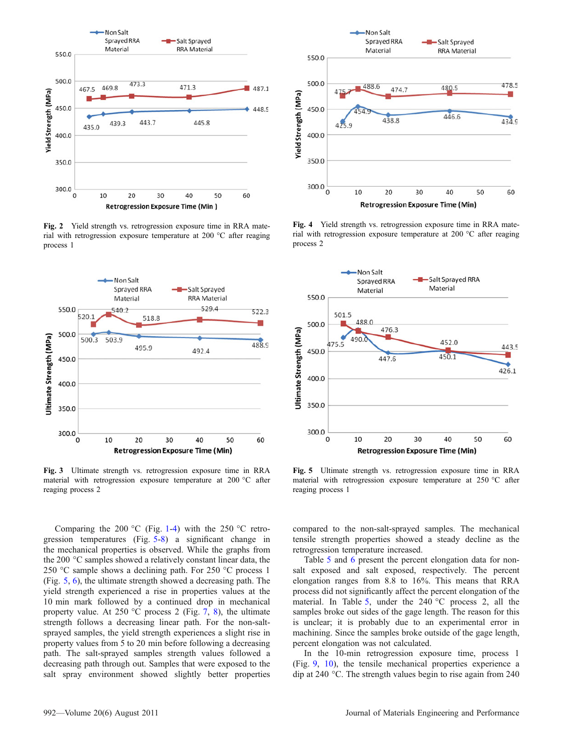<span id="page-5-0"></span>

Fig. 2 Yield strength vs. retrogression exposure time in RRA material with retrogression exposure temperature at 200  $^{\circ}$ C after reaging process 1



Fig. 3 Ultimate strength vs. retrogression exposure time in RRA material with retrogression exposure temperature at 200 °C after reaging process 2

Comparing the 200 °C (Fig. [1](#page-4-0)-4) with the 250 °C retrogression temperatures (Fig. 5-[8](#page-6-0)) a significant change in the mechanical properties is observed. While the graphs from the 200 °C samples showed a relatively constant linear data, the 250 °C sample shows a declining path. For 250 °C process 1 (Fig. 5, [6](#page-6-0)), the ultimate strength showed a decreasing path. The yield strength experienced a rise in properties values at the 10 min mark followed by a continued drop in mechanical property value. At 250  $\rm{^{\circ}C}$  process 2 (Fig. [7,](#page-6-0) [8\)](#page-6-0), the ultimate strength follows a decreasing linear path. For the non-saltsprayed samples, the yield strength experiences a slight rise in property values from 5 to 20 min before following a decreasing path. The salt-sprayed samples strength values followed a decreasing path through out. Samples that were exposed to the salt spray environment showed slightly better properties



Fig. 4 Yield strength vs. retrogression exposure time in RRA material with retrogression exposure temperature at 200  $^{\circ}$ C after reaging process 2



Fig. 5 Ultimate strength vs. retrogression exposure time in RRA material with retrogression exposure temperature at  $250 °C$  after reaging process 1

compared to the non-salt-sprayed samples. The mechanical tensile strength properties showed a steady decline as the retrogression temperature increased.

Table [5](#page-6-0) and [6](#page-6-0) present the percent elongation data for nonsalt exposed and salt exposed, respectively. The percent elongation ranges from 8.8 to 16%. This means that RRA process did not significantly affect the percent elongation of the material. In Table [5,](#page-6-0) under the  $240^{\circ}$ C process 2, all the samples broke out sides of the gage length. The reason for this is unclear; it is probably due to an experimental error in machining. Since the samples broke outside of the gage length, percent elongation was not calculated.

In the 10-min retrogression exposure time, process 1 (Fig. [9,](#page-7-0) [10\)](#page-7-0), the tensile mechanical properties experience a dip at 240  $^{\circ}$ C. The strength values begin to rise again from 240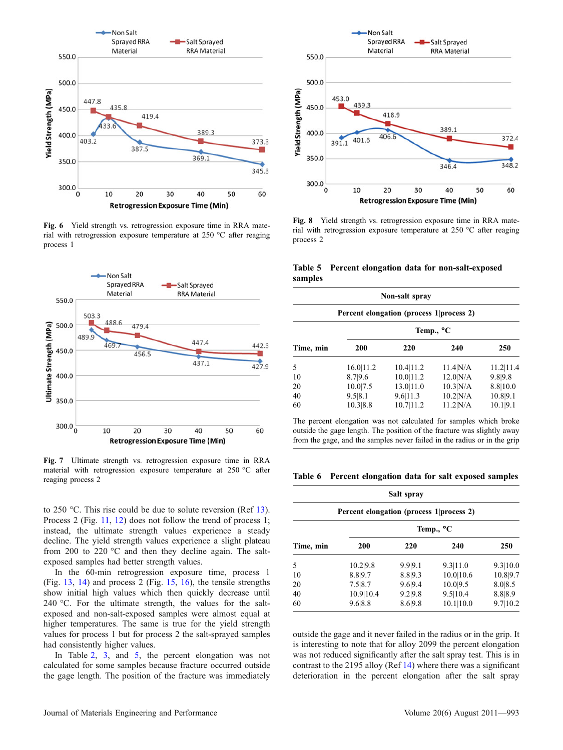<span id="page-6-0"></span>

Fig. 6 Yield strength vs. retrogression exposure time in RRA material with retrogression exposure temperature at  $250 °C$  after reaging process 1



Fig. 7 Ultimate strength vs. retrogression exposure time in RRA material with retrogression exposure temperature at 250 °C after reaging process 2

to 250  $\degree$ C. This rise could be due to solute reversion (Ref [13\)](#page-9-0). Process 2 (Fig. [11](#page-7-0), [12](#page-7-0)) does not follow the trend of process 1; instead, the ultimate strength values experience a steady decline. The yield strength values experience a slight plateau from 200 to 220  $\degree$ C and then they decline again. The saltexposed samples had better strength values.

In the 60-min retrogression exposure time, process 1 (Fig. [13](#page-7-0), [14\)](#page-7-0) and process 2 (Fig. [15,](#page-8-0) [16](#page-8-0)), the tensile strengths show initial high values which then quickly decrease until 240  $^{\circ}$ C. For the ultimate strength, the values for the saltexposed and non-salt-exposed samples were almost equal at higher temperatures. The same is true for the yield strength values for process 1 but for process 2 the salt-sprayed samples had consistently higher values.

In Table [2](#page-3-0), [3,](#page-4-0) and 5, the percent elongation was not calculated for some samples because fracture occurred outside the gage length. The position of the fracture was immediately



Fig. 8 Yield strength vs. retrogression exposure time in RRA material with retrogression exposure temperature at  $250 °C$  after reaging process 2

Table 5 Percent elongation data for non-salt-exposed samples

| Non-salt spray<br>Percent elongation (process 1   process 2) |            |           |                   |           |  |  |
|--------------------------------------------------------------|------------|-----------|-------------------|-----------|--|--|
|                                                              |            |           |                   |           |  |  |
| Time, min                                                    | <b>200</b> | 220       | 240               | 250       |  |  |
| 5                                                            | 16.0 11.2  | 10.4 11.2 | $11.4$ $N/A$      | 11.2 11.4 |  |  |
| 10                                                           | 8.7 9.6    | 10.0 11.2 | $12.0 \text{N/A}$ | 9.8 9.8   |  |  |
| 20                                                           | 10.0 7.5   | 13.0 11.0 | 10.3 N/A          | 8.8 10.0  |  |  |
| 40                                                           | 9.5 8.1    | 9.6 11.3  | $10.2$ N/A        | 10.89.1   |  |  |
| 60                                                           | 10.3 8.8   | 10.7 11.2 | $11.2$ N/A        | 10.1 9.1  |  |  |

The percent elongation was not calculated for samples which broke outside the gage length. The position of the fracture was slightly away from the gage, and the samples never failed in the radius or in the grip

Table 6 Percent elongation data for salt exposed samples

| Salt spray<br>Percent elongation (process 1   process 2) |            |         |           |          |  |  |
|----------------------------------------------------------|------------|---------|-----------|----------|--|--|
|                                                          |            |         |           |          |  |  |
| Time, min                                                | <b>200</b> | 220     | 240       | 250      |  |  |
| 5                                                        | 10.2 9.8   | 9.99.1  | 9.3 11.0  | 9.3 10.0 |  |  |
| 10                                                       | 8.89.7     | 8.8 9.3 | 10.0 10.6 | 10.89.7  |  |  |
| 20                                                       | 7.5 8.7    | 9.6 9.4 | 10.0 9.5  | 8.0 8.5  |  |  |
| 40                                                       | 10.9 10.4  | 9.2 9.8 | 9.5 10.4  | 8.88.9   |  |  |
| 60                                                       | 9.6 8.8    | 8.6 9.8 | 10.1 10.0 | 9.7 10.2 |  |  |

outside the gage and it never failed in the radius or in the grip. It is interesting to note that for alloy 2099 the percent elongation was not reduced significantly after the salt spray test. This is in contrast to the 2195 alloy (Ref [14](#page-9-0)) where there was a significant deterioration in the percent elongation after the salt spray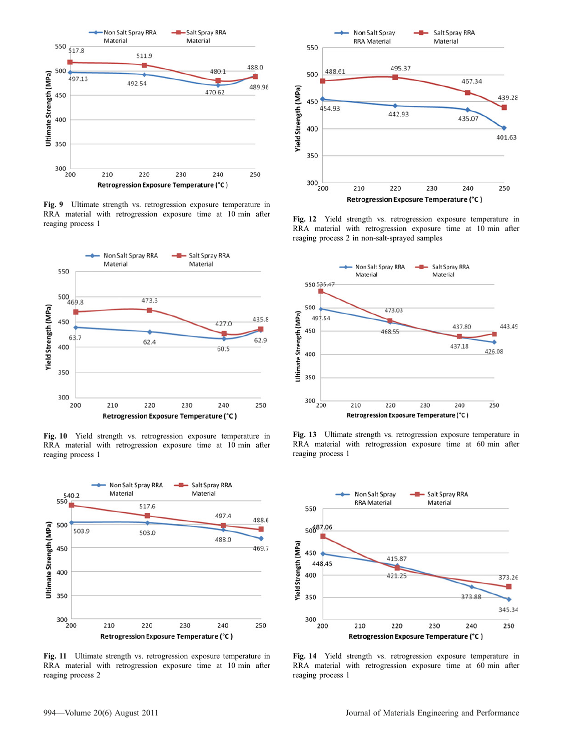<span id="page-7-0"></span>

Fig. 9 Ultimate strength vs. retrogression exposure temperature in RRA material with retrogression exposure time at 10 min after reaging process 1



Fig. 10 Yield strength vs. retrogression exposure temperature in RRA material with retrogression exposure time at 10 min after reaging process 1



Fig. 11 Ultimate strength vs. retrogression exposure temperature in RRA material with retrogression exposure time at 10 min after reaging process 2



Fig. 12 Yield strength vs. retrogression exposure temperature in RRA material with retrogression exposure time at 10 min after reaging process 2 in non-salt-sprayed samples



Fig. 13 Ultimate strength vs. retrogression exposure temperature in RRA material with retrogression exposure time at 60 min after reaging process 1



Fig. 14 Yield strength vs. retrogression exposure temperature in RRA material with retrogression exposure time at 60 min after reaging process 1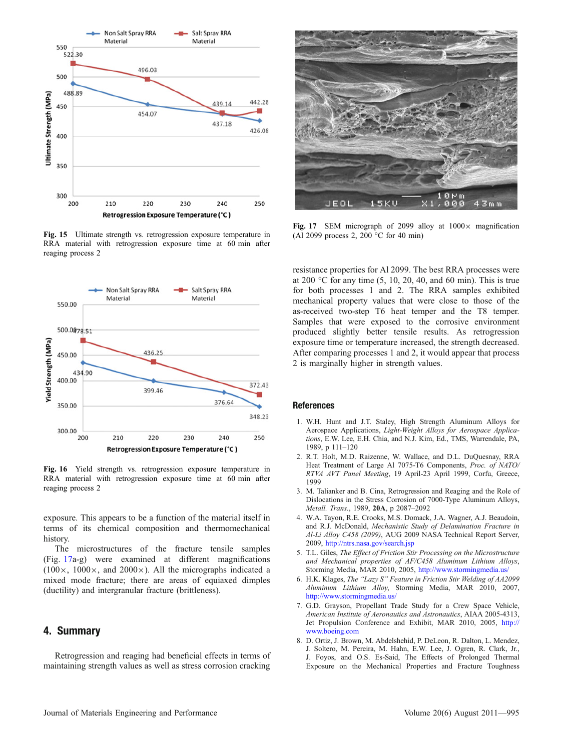<span id="page-8-0"></span>

Fig. 15 Ultimate strength vs. retrogression exposure temperature in RRA material with retrogression exposure time at 60 min after reaging process 2



Fig. 16 Yield strength vs. retrogression exposure temperature in RRA material with retrogression exposure time at 60 min after reaging process 2

exposure. This appears to be a function of the material itself in terms of its chemical composition and thermomechanical history.

The microstructures of the fracture tensile samples (Fig. 17a-g) were examined at different magnifications  $(100\times, 1000\times,$  and  $2000\times)$ . All the micrographs indicated a mixed mode fracture; there are areas of equiaxed dimples (ductility) and intergranular fracture (brittleness).

#### 4. Summary

Retrogression and reaging had beneficial effects in terms of maintaining strength values as well as stress corrosion cracking



Fig. 17 SEM micrograph of 2099 alloy at  $1000 \times$  magnification (Al 2099 process 2, 200  $^{\circ}$ C for 40 min)

resistance properties for Al 2099. The best RRA processes were at 200  $\degree$ C for any time (5, 10, 20, 40, and 60 min). This is true for both processes 1 and 2. The RRA samples exhibited mechanical property values that were close to those of the as-received two-step T6 heat temper and the T8 temper. Samples that were exposed to the corrosive environment produced slightly better tensile results. As retrogression exposure time or temperature increased, the strength decreased. After comparing processes 1 and 2, it would appear that process 2 is marginally higher in strength values.

#### **References**

- 1. W.H. Hunt and J.T. Staley, High Strength Aluminum Alloys for Aerospace Applications, Light-Weight Alloys for Aerospace Applications, E.W. Lee, E.H. Chia, and N.J. Kim, Ed., TMS, Warrendale, PA, 1989, p 111–120
- 2. R.T. Holt, M.D. Raizenne, W. Wallace, and D.L. DuQuesnay, RRA Heat Treatment of Large Al 7075-T6 Components, Proc. of NATO/ RTVA AVT Panel Meeting, 19 April-23 April 1999, Corfu, Greece, 1999
- 3. M. Talianker and B. Cina, Retrogression and Reaging and the Role of Dislocations in the Stress Corrosion of 7000-Type Aluminum Alloys, Metall. Trans., 1989, 20A, p 2087–2092
- 4. W.A. Tayon, R.E. Crooks, M.S. Domack, J.A. Wagner, A.J. Beaudoin, and R.J. McDonald, Mechanistic Study of Delamination Fracture in Al-Li Alloy C458 (2099), AUG 2009 NASA Technical Report Server, 2009, <http://ntrs.nasa.gov/search.jsp>
- 5. T.L. Giles, The Effect of Friction Stir Processing on the Microstructure and Mechanical properties of AF/C458 Aluminum Lithium Alloys, Storming Media, MAR 2010, 2005, <http://www.stormingmedia.us/>
- 6. H.K. Klages, The ''Lazy S'' Feature in Friction Stir Welding of AA2099 Aluminum Lithium Alloy, Storming Media, MAR 2010, 2007, <http://www.stormingmedia.us/>
- 7. G.D. Grayson, Propellant Trade Study for a Crew Space Vehicle, American Institute of Aeronautics and Astronautics, AIAA 2005-4313, Jet Propulsion Conference and Exhibit, MAR 2010, 2005, [http://](http://www.boeing.com) [www.boeing.com](http://www.boeing.com)
- 8. D. Ortiz, J. Brown, M. Abdelshehid, P. DeLeon, R. Dalton, L. Mendez, J. Soltero, M. Pereira, M. Hahn, E.W. Lee, J. Ogren, R. Clark, Jr., J. Foyos, and O.S. Es-Said, The Effects of Prolonged Thermal Exposure on the Mechanical Properties and Fracture Toughness